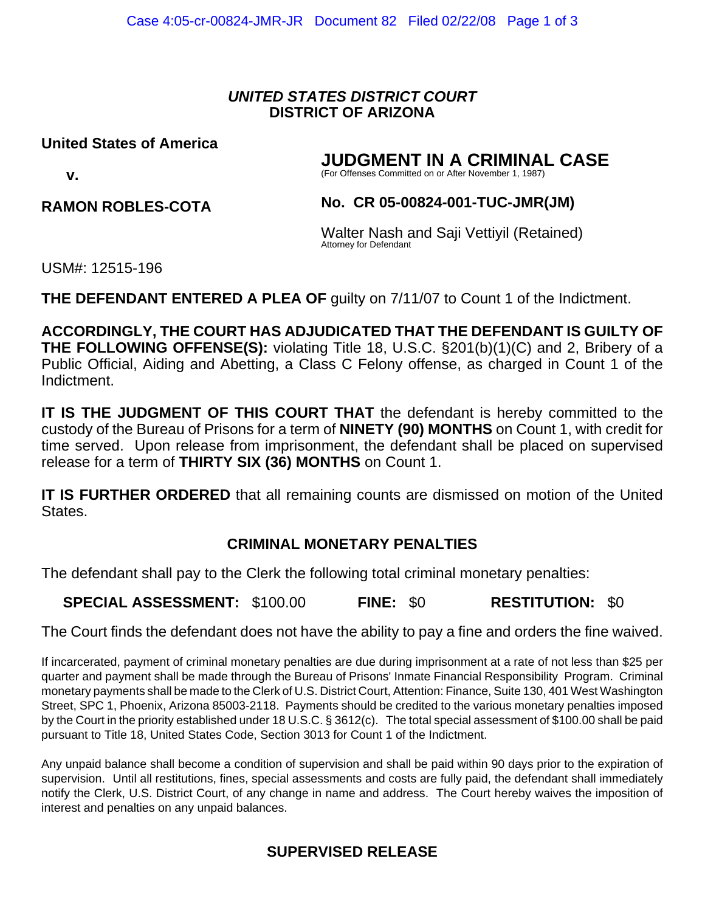### *UNITED STATES DISTRICT COURT* **DISTRICT OF ARIZONA**

#### **United States of America**

# **JUDGMENT IN A CRIMINAL CASE**

(For Offenses Committed on or After November 1, 1987)

#### **RAMON ROBLES-COTA**

### **No. CR 05-00824-001-TUC-JMR(JM)**

Walter Nash and Saji Vettiyil (Retained) Attorney for Defendant

USM#: 12515-196

 **v.**

**THE DEFENDANT ENTERED A PLEA OF guilty on 7/11/07 to Count 1 of the Indictment.** 

**ACCORDINGLY, THE COURT HAS ADJUDICATED THAT THE DEFENDANT IS GUILTY OF THE FOLLOWING OFFENSE(S):** violating Title 18, U.S.C. §201(b)(1)(C) and 2, Bribery of a Public Official, Aiding and Abetting, a Class C Felony offense, as charged in Count 1 of the Indictment.

**IT IS THE JUDGMENT OF THIS COURT THAT** the defendant is hereby committed to the custody of the Bureau of Prisons for a term of **NINETY (90) MONTHS** on Count 1, with credit for time served. Upon release from imprisonment, the defendant shall be placed on supervised release for a term of **THIRTY SIX (36) MONTHS** on Count 1.

**IT IS FURTHER ORDERED** that all remaining counts are dismissed on motion of the United States.

# **CRIMINAL MONETARY PENALTIES**

The defendant shall pay to the Clerk the following total criminal monetary penalties:

**SPECIAL ASSESSMENT:** \$100.00 **FINE:** \$0 **RESTITUTION:** \$0

The Court finds the defendant does not have the ability to pay a fine and orders the fine waived.

If incarcerated, payment of criminal monetary penalties are due during imprisonment at a rate of not less than \$25 per quarter and payment shall be made through the Bureau of Prisons' Inmate Financial Responsibility Program. Criminal monetary payments shall be made to the Clerk of U.S. District Court, Attention: Finance, Suite 130, 401 West Washington Street, SPC 1, Phoenix, Arizona 85003-2118. Payments should be credited to the various monetary penalties imposed by the Court in the priority established under 18 U.S.C. § 3612(c). The total special assessment of \$100.00 shall be paid pursuant to Title 18, United States Code, Section 3013 for Count 1 of the Indictment.

Any unpaid balance shall become a condition of supervision and shall be paid within 90 days prior to the expiration of supervision. Until all restitutions, fines, special assessments and costs are fully paid, the defendant shall immediately notify the Clerk, U.S. District Court, of any change in name and address. The Court hereby waives the imposition of interest and penalties on any unpaid balances.

# **SUPERVISED RELEASE**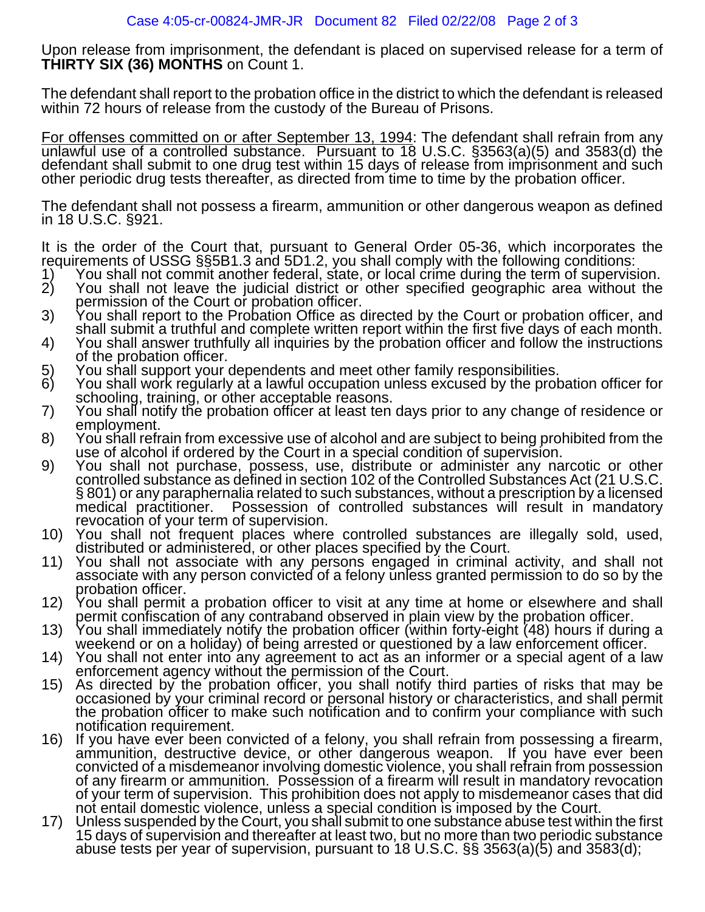Upon release from imprisonment, the defendant is placed on supervised release for a term of **THIRTY SIX (36) MONTHS** on Count 1.

The defendant shall report to the probation office in the district to which the defendant is released within 72 hours of release from the custody of the Bureau of Prisons.

For offenses committed on or after September 13, 1994: The defendant shall refrain from any unlawful use of a controlled substance. Pursuant to 18 U.S.C. §3563(a)(5) and 3583(d) the defendant shall submit to one drug test within 15 days of release from imprisonment and such other periodic drug tests thereafter, as directed from time to time by the probation officer.

The defendant shall not possess a firearm, ammunition or other dangerous weapon as defined<br>in 18 U.S.C. §921.

It is the order of the Court that, pursuant to General Order 05-36, which incorporates the requirements of USSG §§5B1.3 and 5D1.2, you shall comply with the following conditions:

- 1) You shall not commit another federal, state, or local crime during the term of supervision.<br>2) You shall not leave the judicial district or other specified geographic area without the
- 
- 
- The Solution of the Court or probation of there is pecified geographic area without the<br>permission of the Court or probation officer.<br>3) You shall report to the Probation Office as directed by the Court or probation office
- 
- 
- 
- schooling, training, or other acceptable reasons.<br>
7) You shall notify the probation officer at least ten days prior to any change of residence or<br>
8) You shall refrain from excessive use of alcohol and are subject to bein
- § 801) or any paraphernalia related to such substances, without a prescription by a licensed medical practitioner. Possession of controlled substances will result in mandatory revocation of your term of supervision.
- 10) You shall not frequent places where controlled substances are illegally sold, used, distributed or administered, or other places specified by the Court.<br>11) You shall not associate with any persons engaged in criminal
- 
- 
- 
- 
- probation officer.<br>
12) You shall permit a probation officer to visit at any time at home or elsewhere and shall<br>
permit confiscation of any contraband observed in plain view by the probation officer.<br>
13) You shall immedi the probation officer to make such notification and to confirm your compliance with such
- notification requirement.<br>16) If you have ever been convicted of a felony, you shall refrain from possessing a firearm,<br>ammunition, destructive device, or other dangerous weapon. If you have ever been convicted of a misdemeanor involving domestic violence, you shall refrain from possession<br>of any firearm or ammunition. Possession of a firearm will result in mandatory revocation<br>of your term of supervision. This prohibit
- not entail domestic violence, unless a special condition is imposed by the Court.<br>17) Unless suspended by the Court, you shall submit to one substance abuse test within the first<br>15 days of supervision and thereafter at le abuse tests per year of supervision, pursuant to 18 U.S.C. §§ 3563(a)(5) and 3583(d);